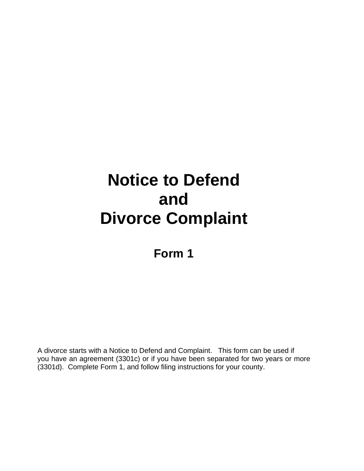# **Notice to Defend and Divorce Complaint**

**Form 1**

A divorce starts with a Notice to Defend and Complaint. This form can be used if you have an agreement (3301c) or if you have been separated for two years or more (3301d). Complete Form 1, and follow filing instructions for your county.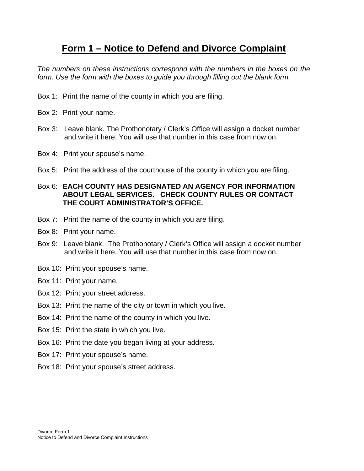# **Form 1 – Notice to Defend and Divorce Complaint**

*The numbers on these instructions correspond with the numbers in the boxes on the form. Use the form with the boxes to guide you through filling out the blank form.* 

- Box 1: Print the name of the county in which you are filing.
- Box 2: Print your name.
- Box 3: Leave blank. The Prothonotary / Clerk's Office will assign a docket number and write it here. You will use that number in this case from now on.
- Box 4: Print your spouse's name.
- Box 5: Print the address of the courthouse of the county in which you are filing.

## Box 6: **EACH COUNTY HAS DESIGNATED AN AGENCY FOR INFORMATION ABOUT LEGAL SERVICES. CHECK COUNTY RULES OR CONTACT THE COURT ADMINISTRATOR'S OFFICE.**

- Box 7: Print the name of the county in which you are filing.
- Box 8: Print your name.
- Box 9: Leave blank. The Prothonotary / Clerk's Office will assign a docket number and write it here. You will use that number in this case from now on.
- Box 10: Print your spouse's name.
- Box 11: Print your name.
- Box 12: Print your street address.
- Box 13: Print the name of the city or town in which you live.
- Box 14: Print the name of the county in which you live.
- Box 15: Print the state in which you live.
- Box 16: Print the date you began living at your address.
- Box 17: Print your spouse's name.
- Box 18: Print your spouse's street address.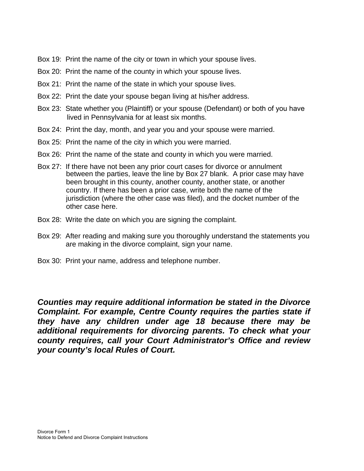- Box 19: Print the name of the city or town in which your spouse lives.
- Box 20: Print the name of the county in which your spouse lives.
- Box 21: Print the name of the state in which your spouse lives.
- Box 22: Print the date your spouse began living at his/her address.
- Box 23: State whether you (Plaintiff) or your spouse (Defendant) or both of you have lived in Pennsylvania for at least six months.
- Box 24: Print the day, month, and year you and your spouse were married.
- Box 25: Print the name of the city in which you were married.
- Box 26: Print the name of the state and county in which you were married.
- Box 27: If there have not been any prior court cases for divorce or annulment between the parties, leave the line by Box 27 blank. A prior case may have been brought in this county, another county, another state, or another country. If there has been a prior case, write both the name of the jurisdiction (where the other case was filed), and the docket number of the other case here.
- Box 28: Write the date on which you are signing the complaint.
- Box 29: After reading and making sure you thoroughly understand the statements you are making in the divorce complaint, sign your name.
- Box 30: Print your name, address and telephone number.

*Counties may require additional information be stated in the Divorce Complaint. For example, Centre County requires the parties state if they have any children under age 18 because there may be additional requirements for divorcing parents. To check what your county requires, call your Court Administrator's Office and review your county's local Rules of Court.*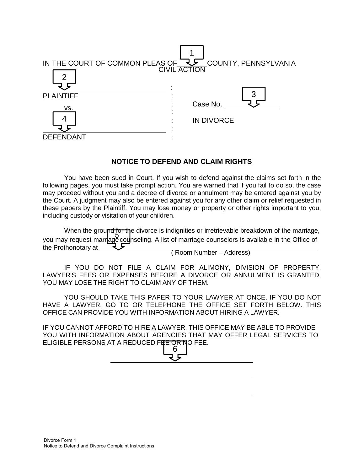

### **NOTICE TO DEFEND AND CLAIM RIGHTS**

You have been sued in Court. If you wish to defend against the claims set forth in the following pages, you must take prompt action. You are warned that if you fail to do so, the case may proceed without you and a decree of divorce or annulment may be entered against you by the Court. A judgment may also be entered against you for any other claim or relief requested in these papers by the Plaintiff. You may lose money or property or other rights important to you, including custody or visitation of your children.

When the ground for the divorce is indignities or irretrievable breakdown of the marriage, you may request marriage counseling. A list of marriage counselors is available in the Office of the Prothonotary at  $\overline{\mathcal{L}}$ 

( Room Number – Address)

IF YOU DO NOT FILE A CLAIM FOR ALIMONY, DIVISION OF PROPERTY, LAWYER'S FEES OR EXPENSES BEFORE A DIVORCE OR ANNULMENT IS GRANTED, YOU MAY LOSE THE RIGHT TO CLAIM ANY OF THEM.

YOU SHOULD TAKE THIS PAPER TO YOUR LAWYER AT ONCE. IF YOU DO NOT HAVE A LAWYER, GO TO OR TELEPHONE THE OFFICE SET FORTH BELOW. THIS OFFICE CAN PROVIDE YOU WITH INFORMATION ABOUT HIRING A LAWYER.

IF YOU CANNOT AFFORD TO HIRE A LAWYER, THIS OFFICE MAY BE ABLE TO PROVIDE YOU WITH INFORMATION ABOUT AGENCIES THAT MAY OFFER LEGAL SERVICES TO ELIGIBLE PERSONS AT A REDUCED FEE OR NO FEE. 6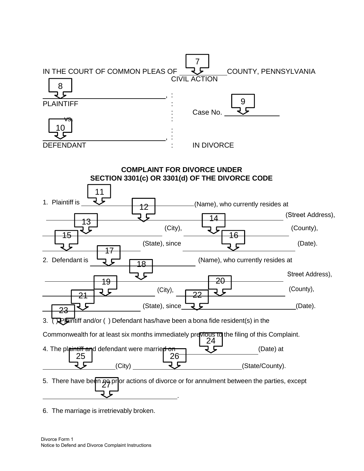

6. The marriage is irretrievably broken.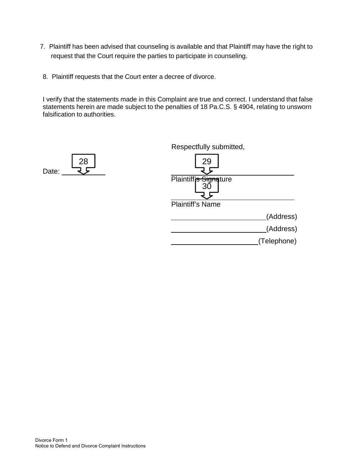- 7. Plaintiff has been advised that counseling is available and that Plaintiff may have the right to request that the Court require the parties to participate in counseling.
- 8. Plaintiff requests that the Court enter a decree of divorce.

I verify that the statements made in this Complaint are true and correct. I understand that false statements herein are made subject to the penalties of 18 Pa.C.S. § 4904, relating to unsworn falsification to authorities.



Respectfully submitted, 29<br>ג Plaintiff's Signature 30 Plaintiff's Name (Address) (Address) (Telephone)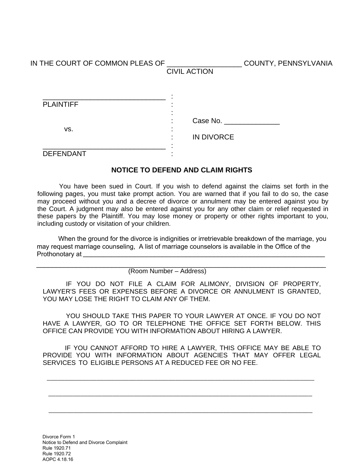IN THE COURT OF COMMON PLEAS OF \_\_\_\_\_\_\_\_\_\_\_\_\_\_\_\_\_\_\_ COUNTY, PENNSYLVANIA

CIVIL ACTION

| <b>PLAINTIFF</b> | ٠                 |
|------------------|-------------------|
| VS.              | Case No.<br>٠     |
|                  | <b>IN DIVORCE</b> |
| <b>DEFENDANT</b> |                   |

### **NOTICE TO DEFEND AND CLAIM RIGHTS**

 You have been sued in Court. If you wish to defend against the claims set forth in the following pages, you must take prompt action. You are warned that if you fail to do so, the case may proceed without you and a decree of divorce or annulment may be entered against you by the Court. A judgment may also be entered against you for any other claim or relief requested in these papers by the Plaintiff. You may lose money or property or other rights important to you, including custody or visitation of your children.

When the ground for the divorce is indignities or irretrievable breakdown of the marriage, you may request marriage counseling, A list of marriage counselors is available in the Office of the Prothonotary at \_\_\_\_\_\_\_\_\_\_\_\_\_\_\_\_\_\_\_\_\_\_\_\_\_\_\_\_\_\_\_\_\_\_\_\_\_\_\_\_\_\_\_\_\_\_\_\_\_\_\_\_\_\_\_\_\_\_\_\_\_

(Room Number – Address) \_\_\_\_\_\_\_\_\_\_\_\_\_\_\_\_\_\_\_\_\_\_\_\_\_\_\_\_\_\_\_\_\_\_\_\_\_\_\_\_\_\_\_\_\_\_\_\_\_\_\_\_\_\_\_\_\_\_\_\_\_\_\_\_\_\_\_\_\_\_\_\_\_

IF YOU DO NOT FILE A CLAIM FOR ALIMONY, DIVISION OF PROPERTY, LAWYER'S FEES OR EXPENSES BEFORE A DIVORCE OR ANNULMENT IS GRANTED, YOU MAY LOSE THE RIGHT TO CLAIM ANY OF THEM.

YOU SHOULD TAKE THIS PAPER TO YOUR LAWYER AT ONCE. IF YOU DO NOT HAVE A LAWYER, GO TO OR TELEPHONE THE OFFICE SET FORTH BELOW. THIS OFFICE CAN PROVIDE YOU WITH INFORMATION ABOUT HIRING A LAWYER.

IF YOU CANNOT AFFORD TO HIRE A LAWYER, THIS OFFICE MAY BE ABLE TO PROVIDE YOU WITH INFORMATION ABOUT AGENCIES THAT MAY OFFER LEGAL SERVICES TO ELIGIBLE PERSONS AT A REDUCED FEE OR NO FEE.

\_\_\_\_\_\_\_\_\_\_\_\_\_\_\_\_\_\_\_\_\_\_\_\_\_\_\_\_\_\_\_\_\_\_\_\_\_\_\_\_\_\_\_\_\_\_\_\_\_\_\_\_\_\_\_\_\_\_\_\_\_\_\_\_\_\_\_\_\_\_\_\_\_\_\_

\_\_\_\_\_\_\_\_\_\_\_\_\_\_\_\_\_\_\_\_\_\_\_\_\_\_\_\_\_\_\_\_\_\_\_\_\_\_\_\_\_\_\_\_\_\_\_\_\_\_\_\_\_\_\_\_\_\_\_\_\_\_\_\_\_\_\_\_\_\_\_\_\_\_

\_\_\_\_\_\_\_\_\_\_\_\_\_\_\_\_\_\_\_\_\_\_\_\_\_\_\_\_\_\_\_\_\_\_\_\_\_\_\_\_\_\_\_\_\_\_\_\_\_\_\_\_\_\_\_\_\_\_\_\_\_\_\_\_\_\_\_\_\_\_\_\_\_\_

Divorce Form 1 Notice to Defend and Divorce Complaint Rule 1920.71 Rule 1920.72 AOPC 4.18.16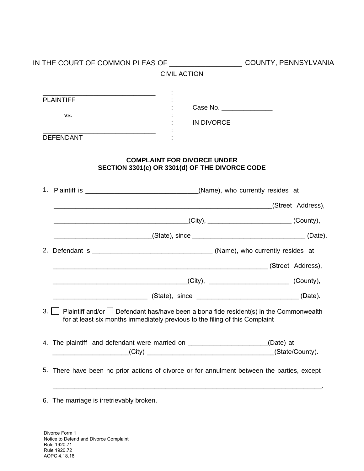| <b>CIVIL ACTION</b><br><b>PLAINTIFF</b><br>Case No. ________________<br>VS.<br><b>IN DIVORCE</b><br><b>DEFENDANT</b><br><b>COMPLAINT FOR DIVORCE UNDER</b><br>SECTION 3301(c) OR 3301(d) OF THE DIVORCE CODE<br>$(City)$ , $\qquad \qquad (Country)$ ,<br>(County), 2008. [City], 2008. [County], 2009. [County], 2009. [County], 2009. [County], 2009. [County], 2009. [<br>(State), since ________________(Date). | IN THE COURT OF COMMON PLEAS OF _______________________ COUNTY, PENNSYLVANIA |
|---------------------------------------------------------------------------------------------------------------------------------------------------------------------------------------------------------------------------------------------------------------------------------------------------------------------------------------------------------------------------------------------------------------------|------------------------------------------------------------------------------|
|                                                                                                                                                                                                                                                                                                                                                                                                                     |                                                                              |
|                                                                                                                                                                                                                                                                                                                                                                                                                     |                                                                              |
|                                                                                                                                                                                                                                                                                                                                                                                                                     |                                                                              |
|                                                                                                                                                                                                                                                                                                                                                                                                                     |                                                                              |
|                                                                                                                                                                                                                                                                                                                                                                                                                     |                                                                              |
|                                                                                                                                                                                                                                                                                                                                                                                                                     |                                                                              |
|                                                                                                                                                                                                                                                                                                                                                                                                                     |                                                                              |
|                                                                                                                                                                                                                                                                                                                                                                                                                     |                                                                              |
|                                                                                                                                                                                                                                                                                                                                                                                                                     |                                                                              |
|                                                                                                                                                                                                                                                                                                                                                                                                                     |                                                                              |
|                                                                                                                                                                                                                                                                                                                                                                                                                     |                                                                              |
|                                                                                                                                                                                                                                                                                                                                                                                                                     |                                                                              |
| 3. $\Box$ Plaintiff and/or $\Box$ Defendant has/have been a bona fide resident(s) in the Commonwealth<br>for at least six months immediately previous to the filing of this Complaint                                                                                                                                                                                                                               |                                                                              |
| 4. The plaintiff and defendant were married on _______________________(Date) at                                                                                                                                                                                                                                                                                                                                     |                                                                              |
| 5.<br>There have been no prior actions of divorce or for annulment between the parties, except                                                                                                                                                                                                                                                                                                                      |                                                                              |

6. The marriage is irretrievably broken.